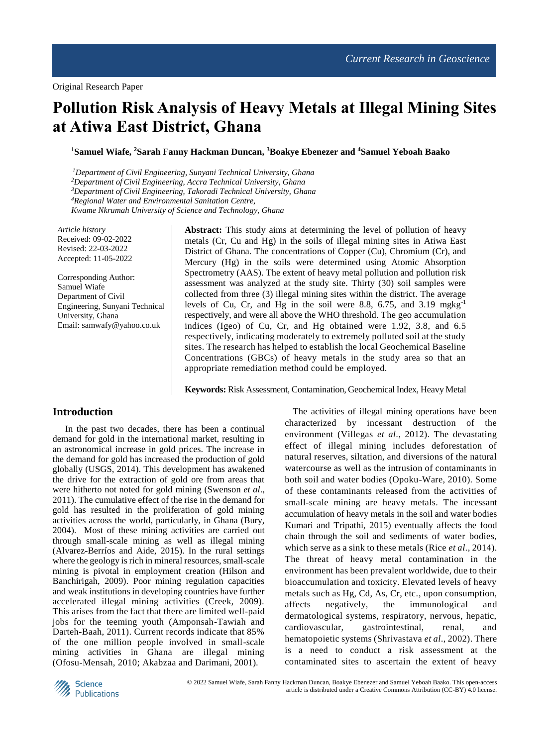# **Pollution Risk Analysis of Heavy Metals at Illegal Mining Sites at Atiwa East District, Ghana**

**<sup>1</sup>Samuel Wiafe, <sup>2</sup>Sarah Fanny Hackman Duncan, <sup>3</sup>Boakye Ebenezer and <sup>4</sup>Samuel Yeboah Baako**

*Department of Civil Engineering, Sunyani Technical University, Ghana Department of Civil Engineering, Accra Technical University, Ghana Department of Civil Engineering, Takoradi Technical University, Ghana Regional Water and Environmental Sanitation Centre, Kwame Nkrumah University of Science and Technology, Ghana*

*Article history* Received: 09-02-2022 Revised: 22-03-2022 Accepted: 11-05-2022

Corresponding Author: Samuel Wiafe Department of Civil Engineering, Sunyani Technical University, Ghana Email: samwafy@yahoo.co.uk

**Abstract:** This study aims at determining the level of pollution of heavy metals (Cr, Cu and Hg) in the soils of illegal mining sites in Atiwa East District of Ghana. The concentrations of Copper (Cu), Chromium (Cr), and Mercury (Hg) in the soils were determined using Atomic Absorption Spectrometry (AAS). The extent of heavy metal pollution and pollution risk assessment was analyzed at the study site. Thirty (30) soil samples were collected from three (3) illegal mining sites within the district. The average levels of Cu, Cr, and Hg in the soil were 8.8, 6.75, and 3.19 mgkg-1 respectively, and were all above the WHO threshold. The geo accumulation indices (Igeo) of Cu, Cr, and Hg obtained were 1.92, 3.8, and 6.5 respectively, indicating moderately to extremely polluted soil at the study sites. The research has helped to establish the local Geochemical Baseline Concentrations (GBCs) of heavy metals in the study area so that an appropriate remediation method could be employed.

**Keywords:** Risk Assessment, Contamination, Geochemical Index, Heavy Metal

#### **Introduction**

In the past two decades, there has been a continual demand for gold in the international market, resulting in an astronomical increase in gold prices. The increase in the demand for gold has increased the production of gold globally (USGS, 2014). This development has awakened the drive for the extraction of gold ore from areas that were hitherto not noted for gold mining (Swenson *et al*., 2011). The cumulative effect of the rise in the demand for gold has resulted in the proliferation of gold mining activities across the world, particularly, in Ghana (Bury, 2004). Most of these mining activities are carried out through small-scale mining as well as illegal mining (Alvarez-Berríos and Aide, 2015). In the rural settings where the geology is rich in mineral resources, small-scale mining is pivotal in employment creation (Hilson and Banchirigah, 2009). Poor mining regulation capacities and weak institutions in developing countries have further accelerated illegal mining activities (Creek, 2009). This arises from the fact that there are limited well-paid jobs for the teeming youth (Amponsah-Tawiah and Darteh-Baah, 2011). Current records indicate that 85% of the one million people involved in small-scale mining activities in Ghana are illegal mining (Ofosu-Mensah, 2010; Akabzaa and Darimani, 2001).

The activities of illegal mining operations have been characterized by incessant destruction of the environment (Villegas *et al*., 2012). The devastating effect of illegal mining includes deforestation of natural reserves, siltation, and diversions of the natural watercourse as well as the intrusion of contaminants in both soil and water bodies (Opoku-Ware, 2010). Some of these contaminants released from the activities of small-scale mining are heavy metals. The incessant accumulation of heavy metals in the soil and water bodies Kumari and Tripathi, 2015) eventually affects the food chain through the soil and sediments of water bodies, which serve as a sink to these metals (Rice *et al*., 2014). The threat of heavy metal contamination in the environment has been prevalent worldwide, due to their bioaccumulation and toxicity. Elevated levels of heavy metals such as Hg, Cd, As, Cr, etc., upon consumption, affects negatively, the immunological and dermatological systems, respiratory, nervous, hepatic, cardiovascular, gastrointestinal, renal, and hematopoietic systems (Shrivastava *et al*., 2002). There is a need to conduct a risk assessment at the contaminated sites to ascertain the extent of heavy

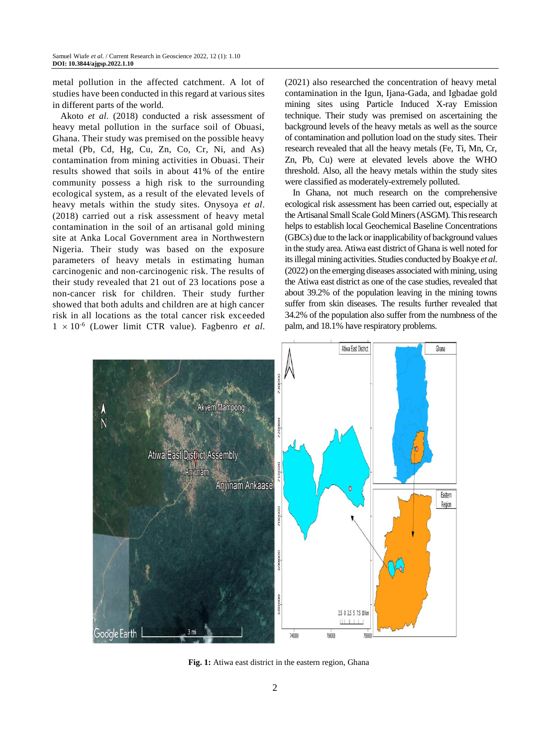metal pollution in the affected catchment. A lot of studies have been conducted in this regard at various sites in different parts of the world.

Akoto *et al*. (2018) conducted a risk assessment of heavy metal pollution in the surface soil of Obuasi, Ghana. Their study was premised on the possible heavy metal (Pb, Cd, Hg, Cu, Zn, Co, Cr, Ni, and As) contamination from mining activities in Obuasi. Their results showed that soils in about 41% of the entire community possess a high risk to the surrounding ecological system, as a result of the elevated levels of heavy metals within the study sites. Onysoya *et al*. (2018) carried out a risk assessment of heavy metal contamination in the soil of an artisanal gold mining site at Anka Local Government area in Northwestern Nigeria. Their study was based on the exposure parameters of heavy metals in estimating human carcinogenic and non-carcinogenic risk. The results of their study revealed that 21 out of 23 locations pose a non-cancer risk for children. Their study further showed that both adults and children are at high cancer risk in all locations as the total cancer risk exceeded  $1 \times 10^{-6}$  (Lower limit CTR value). Fagbenro *et al.* 

(2021) also researched the concentration of heavy metal contamination in the Igun, Ijana-Gada, and Igbadae gold mining sites using Particle Induced X-ray Emission technique. Their study was premised on ascertaining the background levels of the heavy metals as well as the source of contamination and pollution load on the study sites. Their research revealed that all the heavy metals (Fe, Ti, Mn, Cr, Zn, Pb, Cu) were at elevated levels above the WHO threshold. Also, all the heavy metals within the study sites were classified as moderately-extremely polluted.

In Ghana, not much research on the comprehensive ecological risk assessment has been carried out, especially at the Artisanal Small Scale Gold Miners (ASGM). This research helps to establish local Geochemical Baseline Concentrations (GBCs) due to the lack or inapplicability of background values in the study area. Atiwa east district of Ghana is well noted for its illegal mining activities. Studies conducted by Boakye *et al*. (2022) on the emerging diseases associated with mining, using the Atiwa east district as one of the case studies, revealed that about 39.2% of the population leaving in the mining towns suffer from skin diseases. The results further revealed that 34.2% of the population also suffer from the numbness of the palm, and 18.1% have respiratory problems.



**Fig. 1:** Atiwa east district in the eastern region, Ghana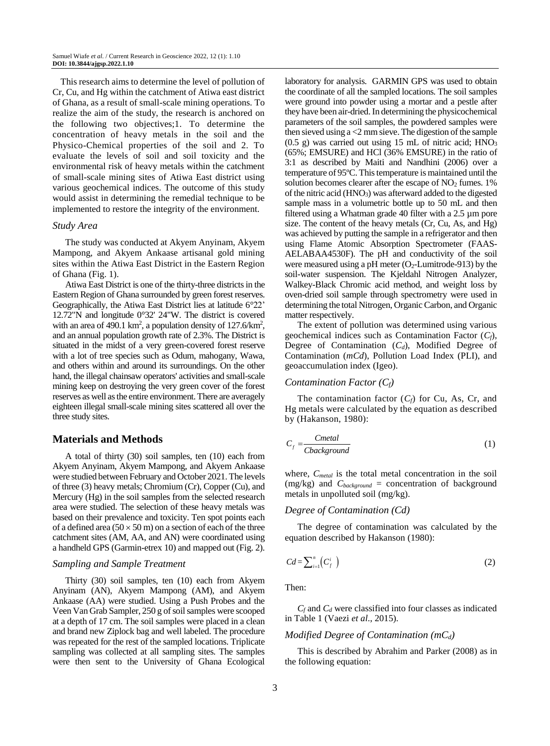This research aims to determine the level of pollution of Cr, Cu, and Hg within the catchment of Atiwa east district of Ghana, as a result of small-scale mining operations. To realize the aim of the study, the research is anchored on the following two objectives;1. To determine the concentration of heavy metals in the soil and the Physico-Chemical properties of the soil and 2. To evaluate the levels of soil and soil toxicity and the environmental risk of heavy metals within the catchment of small-scale mining sites of Atiwa East district using various geochemical indices. The outcome of this study would assist in determining the remedial technique to be implemented to restore the integrity of the environment.

#### *Study Area*

The study was conducted at Akyem Anyinam, Akyem Mampong, and Akyem Ankaase artisanal gold mining sites within the Atiwa East District in the Eastern Region of Ghana (Fig. 1).

Atiwa East District is one of the thirty-three districts in the Eastern Region of Ghana surrounded by green forest reserves. Geographically, the Atiwa East District lies at latitude 6°22' 12.72"N and longitude 0°32' 24"W. The district is covered with an area of 490.1 km<sup>2</sup>, a population density of  $127.6/km^2$ , and an annual population growth rate of 2.3%. The District is situated in the midst of a very green-covered forest reserve with a lot of tree species such as Odum, mahogany, Wawa, and others within and around its surroundings. On the other hand, the illegal chainsaw operators' activities and small-scale mining keep on destroying the very green cover of the forest reserves as well as the entire environment. There are averagely eighteen illegal small-scale mining sites scattered all over the three study sites.

## **Materials and Methods**

A total of thirty (30) soil samples, ten (10) each from Akyem Anyinam, Akyem Mampong, and Akyem Ankaase were studied between February and October 2021. The levels of three (3) heavy metals; Chromium (Cr), Copper (Cu), and Mercury (Hg) in the soil samples from the selected research area were studied. The selection of these heavy metals was based on their prevalence and toxicity. Ten spot points each of a defined area ( $50 \times 50$  m) on a section of each of the three catchment sites (AM, AA, and AN) were coordinated using a handheld GPS (Garmin-etrex 10) and mapped out (Fig. 2).

#### *Sampling and Sample Treatment*

Thirty (30) soil samples, ten (10) each from Akyem Anyinam (AN), Akyem Mampong (AM), and Akyem Ankaase (AA) were studied. Using a Push Probes and the Veen Van Grab Sampler, 250 g of soil samples were scooped at a depth of 17 cm. The soil samples were placed in a clean and brand new Ziplock bag and well labeled. The procedure was repeated for the rest of the sampled locations. Triplicate sampling was collected at all sampling sites. The samples were then sent to the University of Ghana Ecological

laboratory for analysis. GARMIN GPS was used to obtain the coordinate of all the sampled locations. The soil samples were ground into powder using a mortar and a pestle after they have been air-dried. In determining the physicochemical parameters of the soil samples, the powdered samples were then sieved using a <2 mm sieve. The digestion of the sample  $(0.5 \text{ g})$  was carried out using 15 mL of nitric acid; HNO<sub>3</sub> (65%; EMSURE) and HCl (36% EMSURE) in the ratio of 3:1 as described by Maiti and Nandhini (2006) over a temperature of 95ºC. This temperature is maintained until the solution becomes clearer after the escape of  $NO<sub>2</sub>$  fumes. 1% of the nitric acid (HNO3) was afterward added to the digested sample mass in a volumetric bottle up to 50 mL and then filtered using a Whatman grade 40 filter with a 2.5 µm pore size. The content of the heavy metals (Cr, Cu, As, and Hg) was achieved by putting the sample in a refrigerator and then using Flame Atomic Absorption Spectrometer (FAAS-AELABAA4530F). The pH and conductivity of the soil were measured using a pH meter  $(O_2$ -Lumitrode-913) by the soil-water suspension. The Kjeldahl Nitrogen Analyzer, Walkey-Black Chromic acid method, and weight loss by oven-dried soil sample through spectrometry were used in determining the total Nitrogen, Organic Carbon, and Organic matter respectively.

The extent of pollution was determined using various geochemical indices such as Contamination Factor (*Cf*), Degree of Contamination (*Cd*), Modified Degree of Contamination (*mCd*), Pollution Load Index (PLI), and geoaccumulation index (Igeo).

#### *Contamination Factor (Cf)*

The contamination factor  $(C_f)$  for Cu, As, Cr, and Hg metals were calculated by the equation as described by (Hakanson, 1980):

$$
C_f = \frac{Cmetal}{Cbackground} \tag{1}
$$

where, *Cmetal* is the total metal concentration in the soil (mg/kg) and *Cbackground* = concentration of background metals in unpolluted soil (mg/kg).

#### *Degree of Contamination (Cd)*

The degree of contamination was calculated by the equation described by Hakanson (1980):

$$
Cd = \sum_{i=1}^{n} \left( C_f^{i} \right) \tag{2}
$$

Then:

*C<sup>f</sup>* and *C<sup>d</sup>* were classified into four classes as indicated in Table 1 (Vaezi *et al*., 2015).

#### *Modified Degree of Contamination (mCd)*

This is described by Abrahim and Parker (2008) as in the following equation: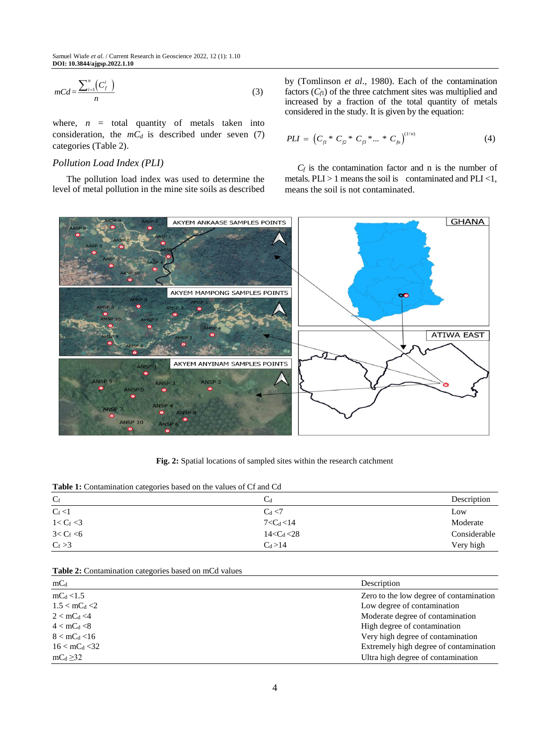$$
mCd = \frac{\sum_{i=1}^{n} \left( C_f^i \right)}{n} \tag{3}
$$

where,  $n =$  total quantity of metals taken into consideration, the  $mC_d$  is described under seven (7) categories (Table 2).

## *Pollution Load Index (PLI)*

 The pollution load index was used to determine the level of metal pollution in the mine site soils as described

by (Tomlinson *et al*., 1980). Each of the contamination factors  $(C<sub>f</sub>)$  of the three catchment sites was multiplied and increased by a fraction of the total quantity of metals considered in the study. It is given by the equation:

$$
PLI = \left(C_{f1} * C_{f2} * C_{f3} * ... * C_{fn}\right)^{(1/n)} \tag{4}
$$

 $C_f$  is the contamination factor and n is the number of metals.  $PLI > 1$  means the soil is contaminated and  $PLI < 1$ , means the soil is not contaminated.



**Fig. 2:** Spatial locations of sampled sites within the research catchment

|  |  | Table 1: Contamination categories based on the values of Cf and Cd |  |  |  |  |  |  |  |  |  |  |  |  |
|--|--|--------------------------------------------------------------------|--|--|--|--|--|--|--|--|--|--|--|--|
|--|--|--------------------------------------------------------------------|--|--|--|--|--|--|--|--|--|--|--|--|

| $C_f$         | $C_d$           | Description  |
|---------------|-----------------|--------------|
| $C_f < 1$     | $C_d < 7$       | Low          |
| $1 < C_f < 3$ | $7 < C_d < 14$  | Moderate     |
| $3 < C_f < 6$ | $14 < C_d < 28$ | Considerable |
| $C_f > 3$     | $C_d > 14$      | Very high    |

**Table 2:** Contamination categories based on mCd values

| $mC_d$                    | Description                             |
|---------------------------|-----------------------------------------|
| $mC_d < 1.5$              | Zero to the low degree of contamination |
| $1.5 < \text{mC}_{d} < 2$ | Low degree of contamination             |
| $2 < mC_d < 4$            | Moderate degree of contamination        |
| $4 < \text{mC}_{d} < 8$   | High degree of contamination            |
| $8 < mC_d < 16$           | Very high degree of contamination       |
| $16 < mC_d < 32$          | Extremely high degree of contamination  |
| $mC_d \geq 32$            | Ultra high degree of contamination      |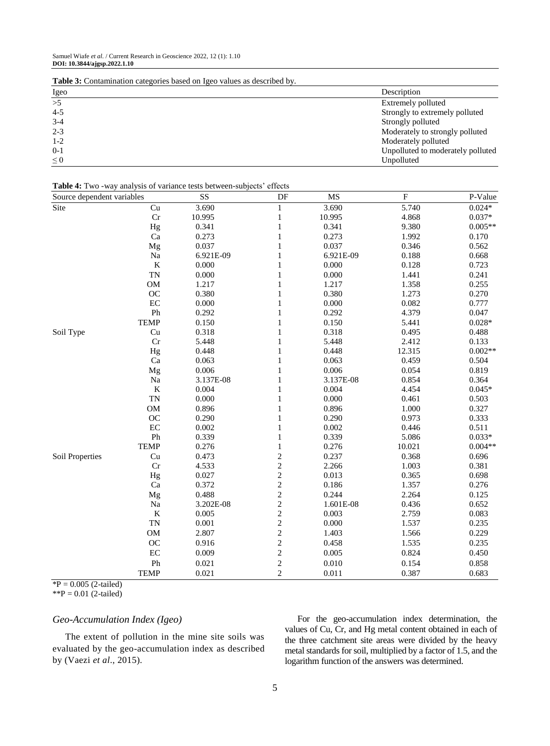**Table 3:** Contamination categories based on Igeo values as described by.

| Igeo     | Description                       |
|----------|-----------------------------------|
| >5       | Extremely polluted                |
| $4 - 5$  | Strongly to extremely polluted    |
| $3-4$    | Strongly polluted                 |
| $2 - 3$  | Moderately to strongly polluted   |
| $1 - 2$  | Moderately polluted               |
| $0-1$    | Unpolluted to moderately polluted |
| $\leq 0$ | Unpolluted                        |

#### **Table 4:** Two -way analysis of variance tests between-subjects' effects

| Source dependent variables |             | SS        | $\rm DF$                                   | $\rm MS$  | ${\bf F}$          | P-Value   |  |
|----------------------------|-------------|-----------|--------------------------------------------|-----------|--------------------|-----------|--|
| Site                       | Cu          | 3.690     | $\mathbf{1}$                               | 3.690     | $\overline{5.740}$ | $0.024*$  |  |
|                            | Cr          | 10.995    | $\,1$                                      | 10.995    | 4.868              | $0.037*$  |  |
|                            | Hg          | 0.341     | $\,1\,$                                    | 0.341     | 9.380              | $0.005**$ |  |
|                            | Ca          | 0.273     | $\,1$                                      | 0.273     | 1.992              | 0.170     |  |
|                            | Mg          | 0.037     | $\mathbf{1}$                               | 0.037     | 0.346              | 0.562     |  |
|                            | Na          | 6.921E-09 | $\,1$                                      | 6.921E-09 | 0.188              | 0.668     |  |
|                            | $\bf K$     | 0.000     | $\,1$                                      | 0.000     | 0.128              | 0.723     |  |
|                            | <b>TN</b>   | 0.000     | $\,1$                                      | 0.000     | 1.441              | 0.241     |  |
|                            | <b>OM</b>   | 1.217     | $\mathbf{1}$                               | 1.217     | 1.358              | 0.255     |  |
|                            | OC          | 0.380     | $\mathbf{1}$                               | 0.380     | 1.273              | 0.270     |  |
|                            | EC          | 0.000     | $\mathbf{1}$                               | 0.000     | 0.082              | 0.777     |  |
|                            | ${\rm Ph}$  | 0.292     | $\mathbf{1}$                               | 0.292     | 4.379              | 0.047     |  |
|                            | <b>TEMP</b> | 0.150     | $\mathbf{1}$                               | 0.150     | 5.441              | $0.028*$  |  |
| Soil Type                  | Cu          | 0.318     | $\mathbf{1}$                               | 0.318     | 0.495              | 0.488     |  |
|                            | Cr          | 5.448     | $\mathbf{1}$                               | 5.448     | 2.412              | 0.133     |  |
|                            | Hg          | 0.448     | $\mathbf{1}$                               | 0.448     | 12.315             | $0.002**$ |  |
|                            | Ca          | 0.063     | $\mathbf{1}$                               | 0.063     | 0.459              | 0.504     |  |
|                            | Mg          | 0.006     | $\mathbf{1}$                               | 0.006     | 0.054              | 0.819     |  |
|                            | Na          | 3.137E-08 | $\mathbf{1}$                               | 3.137E-08 | 0.854              | 0.364     |  |
|                            | $\bf K$     | 0.004     | $\mathbf{1}$                               | 0.004     | 4.454              | $0.045*$  |  |
|                            | <b>TN</b>   | 0.000     | $\mathbf{1}$                               | 0.000     | 0.461              | 0.503     |  |
|                            | OM          | 0.896     | $\mathbf{1}$                               | 0.896     | 1.000              | 0.327     |  |
|                            | OC          | 0.290     | $\mathbf{1}$                               | 0.290     | 0.973              | 0.333     |  |
|                            | EC          | 0.002     | $\mathbf{1}$                               | 0.002     | 0.446              | 0.511     |  |
|                            | Ph          | 0.339     | $\mathbf{1}$                               | 0.339     | 5.086              | $0.033*$  |  |
|                            | <b>TEMP</b> | 0.276     | $\mathbf{1}$                               | 0.276     | 10.021             | $0.004**$ |  |
| Soil Properties            | Cu          | 0.473     | $\overline{c}$                             | 0.237     | 0.368              | 0.696     |  |
|                            | Cr          | 4.533     | $\overline{\mathbf{c}}$                    | 2.266     | 1.003              | 0.381     |  |
|                            | Hg          | 0.027     | $\frac{2}{2}$                              | 0.013     | 0.365              | 0.698     |  |
|                            | Ca          | 0.372     |                                            | 0.186     | 1.357              | 0.276     |  |
|                            | Mg          | 0.488     |                                            | 0.244     | 2.264              | 0.125     |  |
|                            | Na          | 3.202E-08 | $\begin{array}{c} 2 \\ 2 \\ 2 \end{array}$ | 1.601E-08 | 0.436              | 0.652     |  |
|                            | $\bf K$     | 0.005     |                                            | 0.003     | 2.759              | 0.083     |  |
|                            | <b>TN</b>   | 0.001     | $\overline{c}$                             | 0.000     | 1.537              | 0.235     |  |
|                            | $_{\rm OM}$ | 2.807     | $\overline{c}$                             | 1.403     | 1.566              | 0.229     |  |
|                            | OC          | 0.916     | $\overline{c}$                             | 0.458     | 1.535              | 0.235     |  |
|                            | $\rm EC$    | 0.009     | $\overline{c}$                             | 0.005     | 0.824              | 0.450     |  |
|                            | Ph          | 0.021     | $\overline{c}$                             | 0.010     | 0.154              | 0.858     |  |
|                            | <b>TEMP</b> | 0.021     | $\overline{c}$                             | 0.011     | 0.387              | 0.683     |  |

 ${}^{*}\text{P} = 0.005$  (2-tailed)

 $*$  $P = 0.01$  (2-tailed)

## *Geo-Accumulation Index (Igeo)*

The extent of pollution in the mine site soils was evaluated by the geo-accumulation index as described by (Vaezi *et al*., 2015).

For the geo-accumulation index determination, the values of Cu, Cr, and Hg metal content obtained in each of the three catchment site areas were divided by the heavy metal standards for soil, multiplied by a factor of 1.5, and the logarithm function of the answers was determined.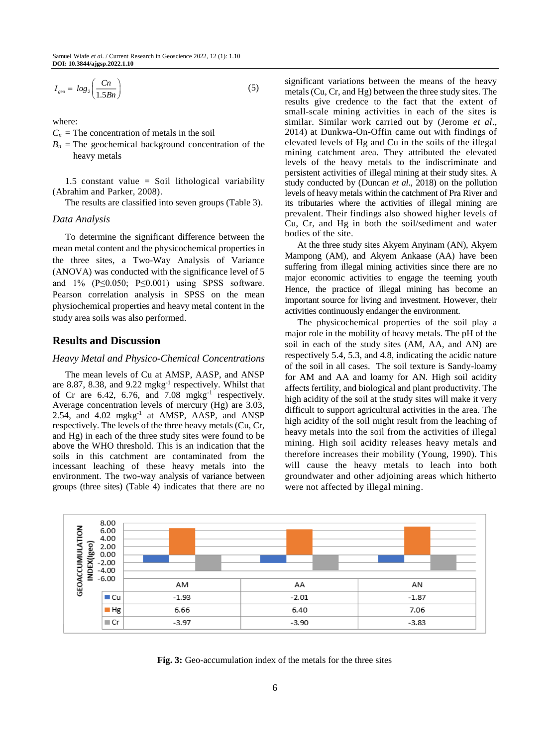$$
I_{geo} = \log_2\left(\frac{Cn}{1.5Bn}\right) \tag{5}
$$

where:

- $C_n$  = The concentration of metals in the soil
- $B_n$  = The geochemical background concentration of the heavy metals

1.5 constant value = Soil lithological variability (Abrahim and Parker, 2008).

The results are classified into seven groups (Table 3).

#### *Data Analysis*

To determine the significant difference between the mean metal content and the physicochemical properties in the three sites, a Two-Way Analysis of Variance (ANOVA) was conducted with the significance level of 5 and  $1\%$  (P $\leq$ 0.050; P $\leq$ 0.001) using SPSS software. Pearson correlation analysis in SPSS on the mean physiochemical properties and heavy metal content in the study area soils was also performed.

# **Results and Discussion**

## *Heavy Metal and Physico-Chemical Concentrations*

The mean levels of Cu at AMSP, AASP, and ANSP are 8.87, 8.38, and  $9.22 \text{ mgkg}^{-1}$  respectively. Whilst that of Cr are  $6.42$ ,  $6.76$ , and  $7.08$  mgkg<sup>-1</sup> respectively. Average concentration levels of mercury (Hg) are 3.03, 2.54, and 4.02 mgkg<sup>-1</sup> at AMSP, AASP, and ANSP respectively. The levels of the three heavy metals (Cu, Cr, and Hg) in each of the three study sites were found to be above the WHO threshold. This is an indication that the soils in this catchment are contaminated from the incessant leaching of these heavy metals into the environment. The two-way analysis of variance between groups (three sites) (Table 4) indicates that there are no

significant variations between the means of the heavy metals (Cu, Cr, and Hg) between the three study sites. The results give credence to the fact that the extent of small-scale mining activities in each of the sites is similar. Similar work carried out by (Jerome *et al*., 2014) at Dunkwa-On-Offin came out with findings of elevated levels of Hg and Cu in the soils of the illegal mining catchment area. They attributed the elevated levels of the heavy metals to the indiscriminate and persistent activities of illegal mining at their study sites. A study conducted by (Duncan *et al*., 2018) on the pollution levels of heavy metals within the catchment of Pra River and its tributaries where the activities of illegal mining are prevalent. Their findings also showed higher levels of Cu, Cr, and Hg in both the soil/sediment and water bodies of the site.

At the three study sites Akyem Anyinam (AN), Akyem Mampong (AM), and Akyem Ankaase (AA) have been suffering from illegal mining activities since there are no major economic activities to engage the teeming youth Hence, the practice of illegal mining has become an important source for living and investment. However, their activities continuously endanger the environment.

The physicochemical properties of the soil play a major role in the mobility of heavy metals. The pH of the soil in each of the study sites (AM, AA, and AN) are respectively 5.4, 5.3, and 4.8, indicating the acidic nature of the soil in all cases. The soil texture is Sandy-loamy for AM and AA and loamy for AN. High soil acidity affects fertility, and biological and plant productivity. The high acidity of the soil at the study sites will make it very difficult to support agricultural activities in the area. The high acidity of the soil might result from the leaching of heavy metals into the soil from the activities of illegal mining. High soil acidity releases heavy metals and therefore increases their mobility (Young, 1990). This will cause the heavy metals to leach into both groundwater and other adjoining areas which hitherto were not affected by illegal mining.



**Fig. 3:** Geo-accumulation index of the metals for the three sites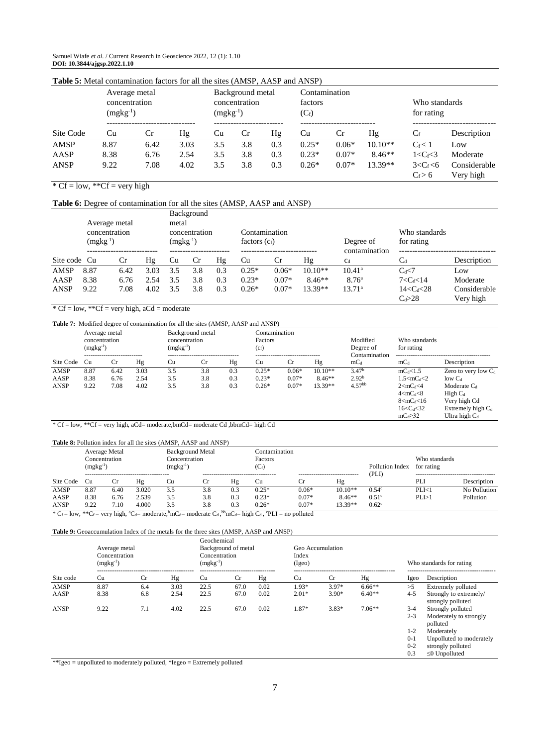Samuel Wiafe *et al*. / Current Research in Geoscience 2022, 12 (1): 1.10 **DOI: 10.3844/ajgsp.2022.1.10**

| <b>Table 5:</b> Metal contamination factors for all the sites (AMSP, AASP and ANSP) |                                |               |      |     |                                                    |     |         |               |           |                             |                           |  |
|-------------------------------------------------------------------------------------|--------------------------------|---------------|------|-----|----------------------------------------------------|-----|---------|---------------|-----------|-----------------------------|---------------------------|--|
|                                                                                     | concentration<br>$(mgkg^{-1})$ | Average metal |      |     | Background metal<br>concentration<br>$(mgkg^{-1})$ |     |         | Contamination |           | Who standards<br>for rating |                           |  |
| Site Code                                                                           | Cu                             | Cr            | Hg   | Cu  | Cr                                                 | Hg  | Cu      | Cr            | Hg        | $C_f$                       | Description               |  |
| AMSP                                                                                | 8.87                           | 6.42          | 3.03 | 3.5 | 3.8                                                | 0.3 | $0.25*$ | $0.06*$       | $10.10**$ | $C_f < 1$                   | Low                       |  |
| AASP                                                                                | 8.38                           | 6.76          | 2.54 | 3.5 | 3.8                                                | 0.3 | $0.23*$ | $0.07*$       | $8.46**$  | $1 < C_f < 3$               | Moderate                  |  |
| <b>ANSP</b>                                                                         | 9.22                           | 7.08          | 4.02 | 3.5 | 3.8                                                | 0.3 | $0.26*$ | $0.07*$       | $13.39**$ | $3 < C_f < 6$<br>$C_f > 6$  | Considerable<br>Very high |  |

# **Table 5:** Metal contamination factors for all the sites (AMSP, AASP and ANSP)

 $*$  Cf = low,  $*$ Cf = very high

#### **Table 6:** Degree of contamination for all the sites (AMSP, AASP and ANSP)

|              | Average metal<br>concentration<br>$(mgkg^{-1})$ |      |      | Background<br>metal<br>concentration<br>$(mgkg^{-1})$ |     |     | Contamination<br>factors $(c_f)$ |         |           | Degree of<br>contamination | Who standards<br>for rating |              |
|--------------|-------------------------------------------------|------|------|-------------------------------------------------------|-----|-----|----------------------------------|---------|-----------|----------------------------|-----------------------------|--------------|
| Site code Cu |                                                 | Cr   | Hg   | Cu                                                    | Cr  | Hg  | Cu                               | Cr      | Hg        | C <sub>d</sub>             |                             | Description  |
| AMSP         | 8.87                                            | 6.42 | 3.03 | 3.5                                                   | 3.8 | 0.3 | $0.25*$                          | $0.06*$ | $10.10**$ | $10.41^{\circ}$            | $C_d \le 7$                 | Low          |
| AASP         | 8.38                                            | 6.76 | 2.54 | 3.5                                                   | 3.8 | 0.3 | $0.23*$                          | $0.07*$ | $8.46**$  | 8.76 <sup>a</sup>          | $7 < C_d < 14$              | Moderate     |
| <b>ANSP</b>  | 9.22                                            | 7.08 | 4.02 | 3.5                                                   | 3.8 | 0.3 | $0.26*$                          | $0.07*$ | $13.39**$ | 13.71 <sup>a</sup>         | $14 < C_d < 28$             | Considerable |
|              |                                                 |      |      |                                                       |     |     |                                  |         |           |                            | $C_d > 28$                  | Very high    |

## $*$  Cf = low,  $*$ Cf = very high, aCd = moderate

#### **Table 7:** Modified degree of contamination for all the sites (AMSP, AASP and ANSP)

|             | $(mgkg^{-1})$ | Contamination<br>Background metal<br>Average metal<br>concentration<br>concentration<br>Factors<br>$(mgkg^{-1})$<br>$(c_f)$<br>--------------------------<br>-------------------------- |      | -------------------------- |           | Modified<br>Degree of<br>Contamination | Who standards<br>for rating |         |           |                   |                          |                        |
|-------------|---------------|-----------------------------------------------------------------------------------------------------------------------------------------------------------------------------------------|------|----------------------------|-----------|----------------------------------------|-----------------------------|---------|-----------|-------------------|--------------------------|------------------------|
| Site Code   | Cu            | Cr                                                                                                                                                                                      | Hg   | Cu                         | <b>Cr</b> | Hg                                     | Cu                          | Cr      | Hg        | $mC_d$            | $mC_d$                   | Description            |
| AMSP        | 8.87          | 6.42                                                                                                                                                                                    | 3.03 | 3.5                        | 3.8       | 0.3                                    | $0.25*$                     | $0.06*$ | $10.10**$ | 3.47 <sup>b</sup> | $mC_d<1.5$               | Zero to very low $C_d$ |
| AASP        | 8.38          | 6.76                                                                                                                                                                                    | 2.54 | 3.5                        | 3.8       | 0.3                                    | $0.23*$                     | $0.07*$ | $8.46**$  | 2.92 <sup>b</sup> | $1.5 < mC_d < 2$         | $low$ $C_d$            |
| <b>ANSP</b> | 9.22          | 7.08                                                                                                                                                                                    | 4.02 | 3.5                        | 3.8       | 0.3                                    | $0.26*$                     | $0.07*$ | $13.39**$ | $4.57^{bb}$       | 2 < mC <sub>d</sub> < 4  | Moderate $C_d$         |
|             |               |                                                                                                                                                                                         |      |                            |           |                                        |                             |         |           |                   | 4 < mC <sub>d</sub> < 8  | $High C_d$             |
|             |               |                                                                                                                                                                                         |      |                            |           |                                        |                             |         |           |                   | 8 < mC <sub>d</sub> < 16 | Very high Cd           |
|             |               |                                                                                                                                                                                         |      |                            |           |                                        |                             |         |           |                   | $16 < C_d < 32$          | Extremely high $C_d$   |
|             |               |                                                                                                                                                                                         |      |                            |           |                                        |                             |         |           |                   | $mc_d \geq 32$           | Ultra high $C_4$       |

\* Cf = low, \*\*Cf = very high, aCd= moderate,bmCd= moderate Cd ,bbmCd= high Cd

#### **Table 8:** Pollution index for all the sites (AMSP, AASP and ANSP)

|                         | <b>Background Metal</b><br>Average Metal<br>Concentration<br>Concentration<br>$(mgkg^{-1})$<br>$(mgkg^{-1})$ |                             |       |     |           |     | Contamination<br>Factors<br>$(C_f)$                                             |                              |           | Pollution Index<br>(PLI) | Who standards<br>for rating |              |  |
|-------------------------|--------------------------------------------------------------------------------------------------------------|-----------------------------|-------|-----|-----------|-----|---------------------------------------------------------------------------------|------------------------------|-----------|--------------------------|-----------------------------|--------------|--|
| Site Code               | Cu                                                                                                           |                             | Ηg    | Cu  | <b>Cr</b> | Ηg  | Cu                                                                              | <b>Cr</b>                    | Hg        |                          | PLI                         | Description  |  |
| AMSP                    | 8.87                                                                                                         | 6.40                        | 3.020 | 3.5 | 3.8       | 0.3 | $0.25*$                                                                         | $0.06*$                      | $10.10**$ | $0.54^{\circ}$           | PLI<1                       | No Pollution |  |
| AASP                    | 8.38                                                                                                         | 6.76                        | 2.539 | 3.5 | 3.8       | 0.3 | $0.23*$                                                                         | $0.07*$                      | $8.46**$  | 0.51 <sup>c</sup>        | PLI > 1                     | Pollution    |  |
| <b>ANSP</b><br>$40 - 1$ | 9.22                                                                                                         | 7.10<br>11.1.9 <sup>o</sup> | 4.000 | 3.5 | 3.8       | 0.3 | $0.26*$<br>$1 + h \alpha = 1 + \alpha + h \alpha + 1 + \alpha + \beta + \gamma$ | $0.07*$<br>$\frac{11}{11}$ 1 | $13.39**$ | $0.62^{\circ}$           |                             |              |  |

\*  $C_f = \text{low}, * * C_f = \text{very high}, * C_d = \text{moderate}, \text{`m}C_d = \text{moderate } C_d, \text{`b}mC_d = \text{high } C_d,$   $\text{`PLI} = \text{no polluted}$ 

#### **Table 9:** Geoaccumulation Index of the metals for the three sites (AMSP, AASP and ANSP)

|             | Average metal<br>Concentration<br>$(mgkg^{-1})$ |           |      | Geochemical<br>Background of metal<br>Concentration<br>$(mgkg^{-1})$ |             |      | Geo Accumulation |             | Who standards for rating |         |                                             |
|-------------|-------------------------------------------------|-----------|------|----------------------------------------------------------------------|-------------|------|------------------|-------------|--------------------------|---------|---------------------------------------------|
| Site code   | Cu                                              | <b>Cr</b> | Hg   | Cu                                                                   | $_{\rm Cr}$ | Hg   | Cu               | $_{\rm Cr}$ | Hg                       | Igeo    | Description                                 |
| AMSP        | 8.87                                            | 6.4       | 3.03 | 22.5                                                                 | 67.0        | 0.02 | $1.93*$          | $3.97*$     | $6.66**$                 | >5      | Extremely polluted                          |
| AASP        | 8.38                                            | 6.8       | 2.54 | 22.5                                                                 | 67.0        | 0.02 | $2.01*$          | $3.90*$     | $6.40**$                 | $4 - 5$ | Strongly to extremely/<br>strongly polluted |
| <b>ANSP</b> | 9.22                                            | 7.1       | 4.02 | 22.5                                                                 | 67.0        | 0.02 | 1.87*            | $3.83*$     | $7.06**$                 | $3-4$   | Strongly polluted                           |
|             |                                                 |           |      |                                                                      |             |      |                  |             |                          | $2 - 3$ | Moderately to strongly<br>polluted          |
|             |                                                 |           |      |                                                                      |             |      |                  |             |                          | $1 - 2$ | Moderately                                  |
|             |                                                 |           |      |                                                                      |             |      |                  |             |                          | $0 - 1$ | Unpolluted to moderately                    |
|             |                                                 |           |      |                                                                      |             |      |                  |             |                          | $0 - 2$ | strongly polluted                           |
|             |                                                 |           |      |                                                                      |             |      |                  |             |                          | 0.3     | $\leq 0$ Unpolluted                         |

\*\*Igeo = unpolluted to moderately polluted, \*Iegeo = Extremely polluted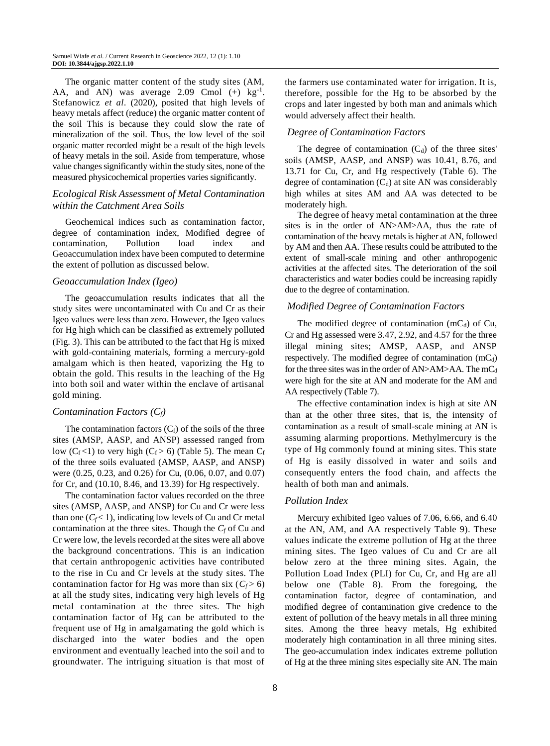The organic matter content of the study sites (AM, AA, and AN) was average 2.09 Cmol  $(+)$  kg<sup>-1</sup>. Stefanowicz *et al*. (2020), posited that high levels of heavy metals affect (reduce) the organic matter content of the soil This is because they could slow the rate of mineralization of the soil. Thus, the low level of the soil organic matter recorded might be a result of the high levels of heavy metals in the soil. Aside from temperature, whose value changes significantly within the study sites, none of the measured physicochemical properties varies significantly.

## *Ecological Risk Assessment of Metal Contamination within the Catchment Area Soils*

Geochemical indices such as contamination factor, degree of contamination index, Modified degree of contamination, Pollution load index and Geoaccumulation index have been computed to determine the extent of pollution as discussed below.

#### *Geoaccumulation Index (Igeo)*

The geoaccumulation results indicates that all the study sites were uncontaminated with Cu and Cr as their Igeo values were less than zero. However, the Igeo values for Hg high which can be classified as extremely polluted (Fig. 3). This can be attributed to the fact that Hg is mixed with gold-containing materials, forming a mercury-gold amalgam which is then heated, vaporizing the Hg to obtain the gold. This results in the leaching of the Hg into both soil and water within the enclave of artisanal gold mining.

#### *Contamination Factors (Cf)*

The contamination factors  $(C_f)$  of the soils of the three sites (AMSP, AASP, and ANSP) assessed ranged from low  $(C_f < 1)$  to very high  $(C_f > 6)$  (Table 5). The mean  $C_f$ of the three soils evaluated (AMSP, AASP, and ANSP) were (0.25, 0.23, and 0.26) for Cu, (0.06, 0.07, and 0.07) for Cr, and (10.10, 8.46, and 13.39) for Hg respectively.

The contamination factor values recorded on the three sites (AMSP, AASP, and ANSP) for Cu and Cr were less than one  $(C_f < 1)$ , indicating low levels of Cu and Cr metal contamination at the three sites. Though the *C<sup>f</sup>* of Cu and Cr were low, the levels recorded at the sites were all above the background concentrations. This is an indication that certain anthropogenic activities have contributed to the rise in Cu and Cr levels at the study sites. The contamination factor for Hg was more than six  $(C_f > 6)$ at all the study sites, indicating very high levels of Hg metal contamination at the three sites. The high contamination factor of Hg can be attributed to the frequent use of Hg in amalgamating the gold which is discharged into the water bodies and the open environment and eventually leached into the soil and to groundwater. The intriguing situation is that most of the farmers use contaminated water for irrigation. It is, therefore, possible for the Hg to be absorbed by the crops and later ingested by both man and animals which would adversely affect their health.

## *Degree of Contamination Factors*

The degree of contamination  $(C_d)$  of the three sites' soils (AMSP, AASP, and ANSP) was 10.41, 8.76, and 13.71 for Cu, Cr, and Hg respectively (Table 6). The degree of contamination  $(C_d)$  at site AN was considerably high whiles at sites AM and AA was detected to be moderately high.

The degree of heavy metal contamination at the three sites is in the order of AN>AM>AA, thus the rate of contamination of the heavy metals is higher at AN, followed by AM and then AA. These results could be attributed to the extent of small-scale mining and other anthropogenic activities at the affected sites. The deterioration of the soil characteristics and water bodies could be increasing rapidly due to the degree of contamination.

## *Modified Degree of Contamination Factors*

The modified degree of contamination  $(mC_d)$  of Cu, Cr and Hg assessed were 3.47, 2.92, and 4.57 for the three illegal mining sites; AMSP, AASP, and ANSP respectively. The modified degree of contamination  $(mC_d)$ for the three sites was in the order of  $AN>AM>AA$ . The mC<sub>d</sub> were high for the site at AN and moderate for the AM and AA respectively (Table 7).

The effective contamination index is high at site AN than at the other three sites, that is, the intensity of contamination as a result of small-scale mining at AN is assuming alarming proportions. Methylmercury is the type of Hg commonly found at mining sites. This state of Hg is easily dissolved in water and soils and consequently enters the food chain, and affects the health of both man and animals.

## *Pollution Index*

Mercury exhibited Igeo values of 7.06, 6.66, and 6.40 at the AN, AM, and AA respectively Table 9). These values indicate the extreme pollution of Hg at the three mining sites. The Igeo values of Cu and Cr are all below zero at the three mining sites. Again, the Pollution Load Index (PLI) for Cu, Cr, and Hg are all below one (Table 8). From the foregoing, the contamination factor, degree of contamination, and modified degree of contamination give credence to the extent of pollution of the heavy metals in all three mining sites. Among the three heavy metals, Hg exhibited moderately high contamination in all three mining sites. The geo-accumulation index indicates extreme pollution of Hg at the three mining sites especially site AN. The main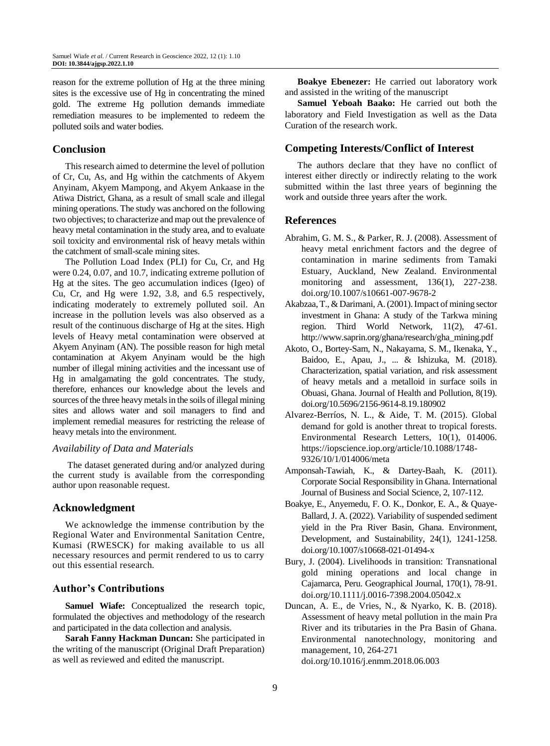reason for the extreme pollution of Hg at the three mining sites is the excessive use of Hg in concentrating the mined gold. The extreme Hg pollution demands immediate remediation measures to be implemented to redeem the polluted soils and water bodies.

# **Conclusion**

This research aimed to determine the level of pollution of Cr, Cu, As, and Hg within the catchments of Akyem Anyinam, Akyem Mampong, and Akyem Ankaase in the Atiwa District, Ghana, as a result of small scale and illegal mining operations. The study was anchored on the following two objectives; to characterize and map out the prevalence of heavy metal contamination in the study area, and to evaluate soil toxicity and environmental risk of heavy metals within the catchment of small-scale mining sites.

The Pollution Load Index (PLI) for Cu, Cr, and Hg were 0.24, 0.07, and 10.7, indicating extreme pollution of Hg at the sites. The geo accumulation indices (Igeo) of Cu, Cr, and Hg were 1.92, 3.8, and 6.5 respectively, indicating moderately to extremely polluted soil. An increase in the pollution levels was also observed as a result of the continuous discharge of Hg at the sites. High levels of Heavy metal contamination were observed at Akyem Anyinam (AN). The possible reason for high metal contamination at Akyem Anyinam would be the high number of illegal mining activities and the incessant use of Hg in amalgamating the gold concentrates. The study, therefore, enhances our knowledge about the levels and sources of the three heavy metals in the soils of illegal mining sites and allows water and soil managers to find and implement remedial measures for restricting the release of heavy metals into the environment.

## *Availability of Data and Materials*

The dataset generated during and/or analyzed during the current study is available from the corresponding author upon reasonable request.

# **Acknowledgment**

We acknowledge the immense contribution by the Regional Water and Environmental Sanitation Centre, Kumasi (RWESCK) for making available to us all necessary resources and permit rendered to us to carry out this essential research.

# **Author's Contributions**

**Samuel Wiafe:** Conceptualized the research topic, formulated the objectives and methodology of the research and participated in the data collection and analysis.

**Sarah Fanny Hackman Duncan:** She participated in the writing of the manuscript (Original Draft Preparation) as well as reviewed and edited the manuscript.

**Boakye Ebenezer:** He carried out laboratory work and assisted in the writing of the manuscript

**Samuel Yeboah Baako:** He carried out both the laboratory and Field Investigation as well as the Data Curation of the research work.

# **Competing Interests/Conflict of Interest**

The authors declare that they have no conflict of interest either directly or indirectly relating to the work submitted within the last three years of beginning the work and outside three years after the work.

## **References**

- Abrahim, G. M. S., & Parker, R. J. (2008). Assessment of heavy metal enrichment factors and the degree of contamination in marine sediments from Tamaki Estuary, Auckland, New Zealand. Environmental monitoring and assessment, 136(1), 227-238. doi.org/10.1007/s10661-007-9678-2
- Akabzaa, T., & Darimani, A. (2001). Impact of mining sector investment in Ghana: A study of the Tarkwa mining region. Third World Network, 11(2), 47-61. http://www.saprin.org/ghana/research/gha\_mining.pdf
- Akoto, O., Bortey-Sam, N., Nakayama, S. M., Ikenaka, Y., Baidoo, E., Apau, J., ... & Ishizuka, M. (2018). Characterization, spatial variation, and risk assessment of heavy metals and a metalloid in surface soils in Obuasi, Ghana. Journal of Health and Pollution, 8(19). [doi.org/10.5696/2156-9614-8.19.180902](https://doi.org/10.5696/2156-9614-8.19.180902)
- Alvarez-Berríos, N. L., & Aide, T. M. (2015). Global demand for gold is another threat to tropical forests. Environmental Research Letters, 10(1), 014006. https://iopscience.iop.org/article/10.1088/1748- 9326/10/1/014006/meta
- Amponsah-Tawiah, K., & Dartey-Baah, K. (2011). Corporate Social Responsibility in Ghana. International Journal of Business and Social Science, 2, 107-112.
- Boakye, E., Anyemedu, F. O. K., Donkor, E. A., & Quaye-Ballard, J. A. (2022). Variability of suspended sediment yield in the Pra River Basin, Ghana. Environment, Development, and Sustainability, 24(1), 1241-1258. doi.org[/10.1007/s10668-021-01494-x](https://link.springer.com/article/10.1007/s10668-021-01494-x)
- Bury, J. (2004). Livelihoods in transition: Transnational gold mining operations and local change in Cajamarca, Peru. Geographical Journal, 170(1), 78-91. doi.org/10.1111/j.0016-7398.2004.05042.x
- Duncan, A. E., de Vries, N., & Nyarko, K. B. (2018). Assessment of heavy metal pollution in the main Pra River and its tributaries in the Pra Basin of Ghana. Environmental nanotechnology, monitoring and management, 10, 264-271 doi.org/10.1016/j.enmm.2018.06.003